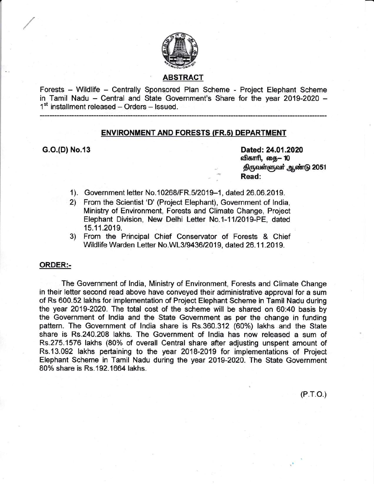

# ABSTRACT

Forests - Wildlife - Centrally Sponsored Plan Scheme - Project Elephant Scheme in Tamil Nadu - Central and State Government's Share for the year 2019-2020 - $1<sup>st</sup>$  installment released - Orders - Issued.

#### ENVIRONMENT AND FORESTS (FR.s} DEPARTMENT

G.O.(D) No.13 Dated: 24.01.2020 விகாரி, தை— 10 திருவள்ளுவர் ஆண்டு 2051 Read:

 $(P.T.O.)$ 

- 1). Government letter No.10268/FR.5/2019-1, dated 26.06.2019.
- 2\ From the Scientist 'D' (Project Elephant), Government of lndia, Ministry of Environment, Forests and Climate Change, Project Elephant Division, New Delhi Letter No.1-1112019-PE, dated 15.11.2019. 3) From the Principal Chief Conservator of Forests & Chief
- Wildlife Warden Letter No.WL3/9436/2019, dated 26.11.2019.

### ORDER:-

The Government of lndia, Ministry of Environment, Forests and Climate Change in their letter second read above have conveyed their administrative approval for a sum of Rs 600.52 lakhs for implementation of Project Elephant Scheme in Tamil Nadu during the year 2019-2020. The total cost of the scheme will be shared on 60:40 basis by the Government of lndia and the State Government as per the change in funding pattern. The Government of India share is Rs.360.312 (60%) lakhs and the State share is Rs.240.208 lakhs. The Government of lndia has now released a sum of Rs.275.1576 lakhs (80% of overall Central share after adjusting unspent amount of Rs.13.092 lakhs pertaining to the year 2018-2019 for implementations of Project Elephant Scheme in Tamil Nadu during the year 2019-2020. The State Government 80% share is Rs. 192, 1664 lakhs.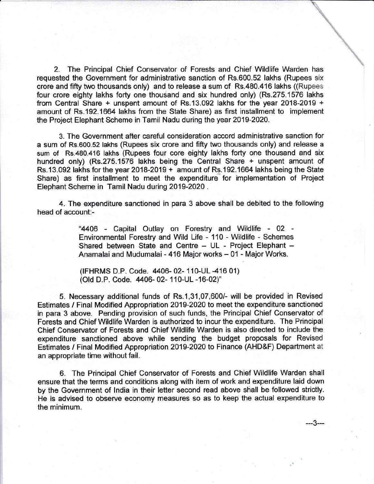2. The Principal Chief Conservator of Forests and Chief Wildlife Warden has requested the Government for administrative sanction of Rs.600.52 lakhs (Rupees six crore and fifty two thousands only) and to release a sum of Rs.480.416 lakhs ((Rupees four crore eighty lakhs forty one thousand and six hundred only) (Rs.275.1576 lakhs from Central Share + unspent amount of Rs.13.092 lakhs for the year 2018-2019 <sup>+</sup> amount of Rs.192.1664 lakhs from the State Share) as first installment to implement the Project Elephant Scheme in Tamil Nadu during the year 2019-2024.

3. The Government after careful consideration accord administrative sanction for a sum of Rs.600.52 lakhs (Rupees six crore and fifty two thousands only) and release <sup>a</sup> sum of Rs.480.416 lakhs (Rupees four core eighty lakhs forty one thousand and six hundred only) (Rs.275.1576 lakhs being the Central Share + unspent amount of Rs.13.092 lakhs for the year 2018-2019 + amount of Rs.192.1664 lakhs being the State Share) as first installment to meet the expenditure for implementation of Project Elephant Scheme in Tamil Nadu during 2019-2020 .

4. The expenditure sanctioned in para 3 above shall be debited to the following head of account:-

> "4406 - Capital Outlay on Forestry and Wildlife - <sup>02</sup> Environmental Forestry and Wild Life - 110 - Wildlife - Schemes Shared between State and Centre - UL - Project Elephant -Anamalai and Mudumalai - 416 Major works - 01 - Major Works.

(IFHRMS D.P. Code. 4406- 02- 110-UL -416 01) (Old D.P. Code. 4406- 02- 110-UL -16-02)"

5. Necessary additional funds of Rs.1,31,07,600/- will be provided in Revised Estimates / Final Modified Appropriation 2019-2020 to meet the expenditure sanctioned in para 3 above. Pending provision of such funds, the Principal Chief Conservator of Forests and Chief Wildlife Warden is authorized to incur the expenditure. The Principal Chief Conservator of Forests and Chief Wildlife Warden is also directed to include the expenditure sanctioned above while sending the budget proposals for Revised Estimates / Final Modified Appropriation 2019-2020 to Finance (AHD&F) Department at an appropriate time without fail.

6. The Principal Chief Conservator of Forests and Chief Wildlife Warden shall ensure that the terms and conditions along with item of work and expenditure laid down by the Government of lndia in their letter second read above shall be followed strictly. He is advised to observe economy measures so as to keep the actual expenditure to the minimum.

---3---